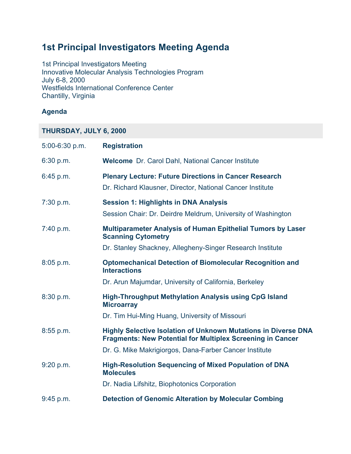# **1st Principal Investigators Meeting Agenda**

1st Principal Investigators Meeting Innovative Molecular Analysis Technologies Program July 6-8, 2000 Westfields International Conference Center Chantilly, Virginia

#### **Agenda**

### **THURSDAY, JULY 6, 2000**

| 5:00-6:30 p.m. | <b>Registration</b>                                                                                                                 |
|----------------|-------------------------------------------------------------------------------------------------------------------------------------|
| 6:30 p.m.      | <b>Welcome</b> Dr. Carol Dahl, National Cancer Institute                                                                            |
| 6:45 p.m.      | <b>Plenary Lecture: Future Directions in Cancer Research</b><br>Dr. Richard Klausner, Director, National Cancer Institute           |
| 7:30 p.m.      | <b>Session 1: Highlights in DNA Analysis</b><br>Session Chair: Dr. Deirdre Meldrum, University of Washington                        |
| 7:40 p.m.      | <b>Multiparameter Analysis of Human Epithelial Tumors by Laser</b><br><b>Scanning Cytometry</b>                                     |
|                | Dr. Stanley Shackney, Allegheny-Singer Research Institute                                                                           |
| 8:05 p.m.      | <b>Optomechanical Detection of Biomolecular Recognition and</b><br><b>Interactions</b>                                              |
|                | Dr. Arun Majumdar, University of California, Berkeley                                                                               |
| 8:30 p.m.      | <b>High-Throughput Methylation Analysis using CpG Island</b><br><b>Microarray</b>                                                   |
|                | Dr. Tim Hui-Ming Huang, University of Missouri                                                                                      |
| $8:55$ p.m.    | Highly Selective Isolation of Unknown Mutations in Diverse DNA<br><b>Fragments: New Potential for Multiplex Screening in Cancer</b> |
|                | Dr. G. Mike Makrigiorgos, Dana-Farber Cancer Institute                                                                              |
| 9:20 p.m.      | <b>High-Resolution Sequencing of Mixed Population of DNA</b><br><b>Molecules</b>                                                    |
|                | Dr. Nadia Lifshitz, Biophotonics Corporation                                                                                        |
| 9:45 p.m.      | <b>Detection of Genomic Alteration by Molecular Combing</b>                                                                         |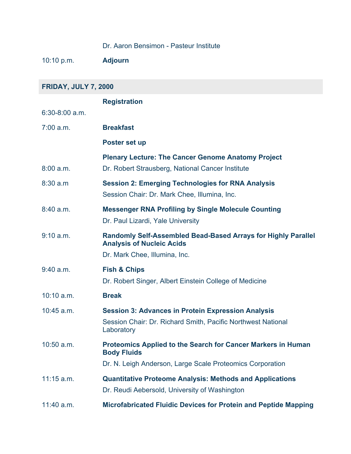### Dr. Aaron Bensimon - Pasteur Institute

10:10 p.m. **Adjourn**

| <b>FRIDAY, JULY 7, 2000</b> |                                                                                                                                                 |  |
|-----------------------------|-------------------------------------------------------------------------------------------------------------------------------------------------|--|
|                             | <b>Registration</b>                                                                                                                             |  |
| $6:30-8:00$ a.m.            |                                                                                                                                                 |  |
| $7:00$ a.m.                 | <b>Breakfast</b>                                                                                                                                |  |
|                             | Poster set up                                                                                                                                   |  |
|                             | <b>Plenary Lecture: The Cancer Genome Anatomy Project</b>                                                                                       |  |
| 8:00 a.m.                   | Dr. Robert Strausberg, National Cancer Institute                                                                                                |  |
| 8:30 a.m                    | <b>Session 2: Emerging Technologies for RNA Analysis</b><br>Session Chair: Dr. Mark Chee, Illumina, Inc.                                        |  |
| 8:40 a.m.                   | <b>Messenger RNA Profiling by Single Molecule Counting</b><br>Dr. Paul Lizardi, Yale University                                                 |  |
| 9:10 a.m.                   | Randomly Self-Assembled Bead-Based Arrays for Highly Parallel<br><b>Analysis of Nucleic Acids</b><br>Dr. Mark Chee, Illumina, Inc.              |  |
| $9:40$ a.m.                 | <b>Fish &amp; Chips</b><br>Dr. Robert Singer, Albert Einstein College of Medicine                                                               |  |
| $10:10$ a.m.                | <b>Break</b>                                                                                                                                    |  |
| $10:45$ a.m.                | <b>Session 3: Advances in Protein Expression Analysis</b><br>Session Chair: Dr. Richard Smith, Pacific Northwest National<br>Laboratory         |  |
| $10:50$ a.m.                | Proteomics Applied to the Search for Cancer Markers in Human<br><b>Body Fluids</b><br>Dr. N. Leigh Anderson, Large Scale Proteomics Corporation |  |
| $11:15$ a.m.                | <b>Quantitative Proteome Analysis: Methods and Applications</b><br>Dr. Reudi Aebersold, University of Washington                                |  |
| $11:40$ a.m.                | <b>Microfabricated Fluidic Devices for Protein and Peptide Mapping</b>                                                                          |  |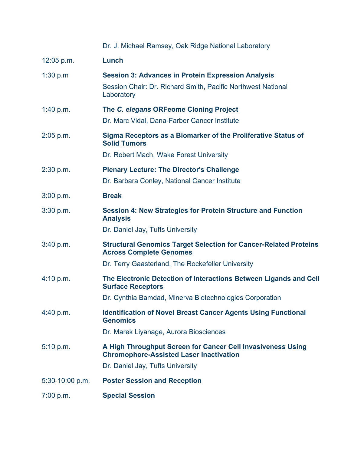|                   | Dr. J. Michael Ramsey, Oak Ridge National Laboratory                                                                                                           |
|-------------------|----------------------------------------------------------------------------------------------------------------------------------------------------------------|
| $12:05$ p.m.      | Lunch                                                                                                                                                          |
| 1:30 $p.m$        | <b>Session 3: Advances in Protein Expression Analysis</b><br>Session Chair: Dr. Richard Smith, Pacific Northwest National<br>Laboratory                        |
| 1:40 p.m.         | The C. elegans ORFeome Cloning Project<br>Dr. Marc Vidal, Dana-Farber Cancer Institute                                                                         |
| $2:05$ p.m.       | Sigma Receptors as a Biomarker of the Proliferative Status of<br><b>Solid Tumors</b><br>Dr. Robert Mach, Wake Forest University                                |
| 2:30 p.m.         | <b>Plenary Lecture: The Director's Challenge</b><br>Dr. Barbara Conley, National Cancer Institute                                                              |
| 3:00 p.m.         | <b>Break</b>                                                                                                                                                   |
| 3:30 p.m.         | <b>Session 4: New Strategies for Protein Structure and Function</b><br><b>Analysis</b>                                                                         |
|                   | Dr. Daniel Jay, Tufts University                                                                                                                               |
| 3:40 p.m.         | <b>Structural Genomics Target Selection for Cancer-Related Proteins</b><br><b>Across Complete Genomes</b><br>Dr. Terry Gaasterland, The Rockefeller University |
| 4:10 p.m.         | The Electronic Detection of Interactions Between Ligands and Cell<br><b>Surface Receptors</b>                                                                  |
|                   | Dr. Cynthia Bamdad, Minerva Biotechnologies Corporation                                                                                                        |
| 4:40 p.m.         | <b>Identification of Novel Breast Cancer Agents Using Functional</b><br><b>Genomics</b>                                                                        |
|                   | Dr. Marek Liyanage, Aurora Biosciences                                                                                                                         |
| 5:10 p.m.         | A High Throughput Screen for Cancer Cell Invasiveness Using<br><b>Chromophore-Assisted Laser Inactivation</b>                                                  |
|                   | Dr. Daniel Jay, Tufts University                                                                                                                               |
| $5:30-10:00$ p.m. | <b>Poster Session and Reception</b>                                                                                                                            |
| 7:00 p.m.         | <b>Special Session</b>                                                                                                                                         |